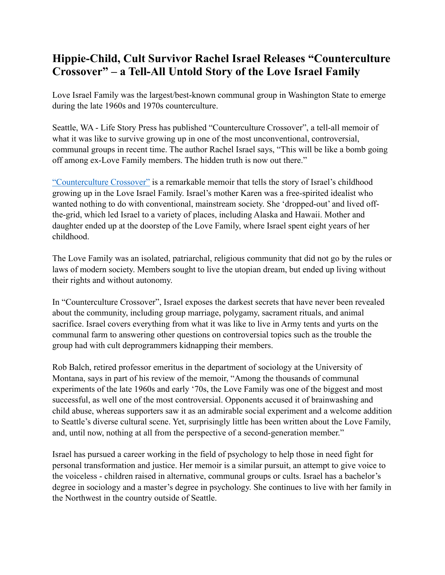## **Hippie-Child, Cult Survivor Rachel Israel Releases "Counterculture Crossover" – a Tell-All Untold Story of the Love Israel Family**

Love Israel Family was the largest/best-known communal group in Washington State to emerge during the late 1960s and 1970s counterculture.

Seattle, WA - Life Story Press has published "Counterculture Crossover", a tell-all memoir of what it was like to survive growing up in one of the most unconventional, controversial, communal groups in recent time. The author Rachel Israel says, "This will be like a bomb going off among ex-Love Family members. The hidden truth is now out there."

["Counterculture Crossover"](https://www.amazon.com/counterculture-crossover-growing-love-family-ebook/dp/b07h7wv3jp) is a remarkable memoir that tells the story of Israel's childhood growing up in the Love Israel Family. Israel's mother Karen was a free-spirited idealist who wanted nothing to do with conventional, mainstream society. She 'dropped-out' and lived offthe-grid, which led Israel to a variety of places, including Alaska and Hawaii. Mother and daughter ended up at the doorstep of the Love Family, where Israel spent eight years of her childhood.

The Love Family was an isolated, patriarchal, religious community that did not go by the rules or laws of modern society. Members sought to live the utopian dream, but ended up living without their rights and without autonomy.

In "Counterculture Crossover", Israel exposes the darkest secrets that have never been revealed about the community, including group marriage, polygamy, sacrament rituals, and animal sacrifice. Israel covers everything from what it was like to live in Army tents and yurts on the communal farm to answering other questions on controversial topics such as the trouble the group had with cult deprogrammers kidnapping their members.

Rob Balch, retired professor emeritus in the department of sociology at the University of Montana, says in part of his review of the memoir, "Among the thousands of communal experiments of the late 1960s and early '70s, the Love Family was one of the biggest and most successful, as well one of the most controversial. Opponents accused it of brainwashing and child abuse, whereas supporters saw it as an admirable social experiment and a welcome addition to Seattle's diverse cultural scene. Yet, surprisingly little has been written about the Love Family, and, until now, nothing at all from the perspective of a second-generation member."

Israel has pursued a career working in the field of psychology to help those in need fight for personal transformation and justice. Her memoir is a similar pursuit, an attempt to give voice to the voiceless - children raised in alternative, communal groups or cults. Israel has a bachelor's degree in sociology and a master's degree in psychology. She continues to live with her family in the Northwest in the country outside of Seattle.